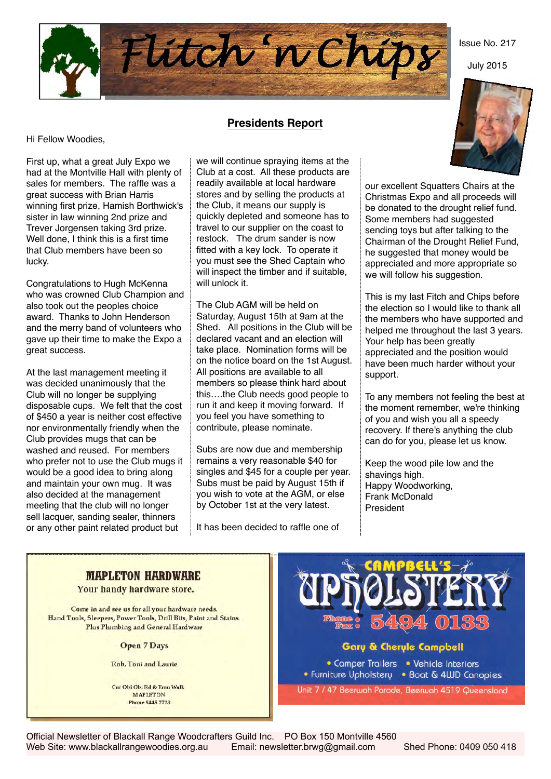

July 2015



### **Presidents Report**

Hi Fellow Woodies,

First up, what a great July Expo we had at the Montville Hall with plenty of sales for members. The raffle was a great success with Brian Harris winning first prize, Hamish Borthwick's sister in law winning 2nd prize and Trever Jorgensen taking 3rd prize. Well done, I think this is a first time that Club members have been so lucky.

Congratulations to Hugh McKenna who was crowned Club Champion and also took out the peoples choice award. Thanks to John Henderson and the merry band of volunteers who gave up their time to make the Expo a great success.

At the last management meeting it was decided unanimously that the Club will no longer be supplying disposable cups. We felt that the cost of \$450 a year is neither cost effective nor environmentally friendly when the Club provides mugs that can be washed and reused. For members who prefer not to use the Club mugs it would be a good idea to bring along and maintain your own mug. It was also decided at the management meeting that the club will no longer sell lacquer, sanding sealer, thinners or any other paint related product but

we will continue spraying items at the Club at a cost. All these products are readily available at local hardware stores and by selling the products at the Club, it means our supply is quickly depleted and someone has to travel to our supplier on the coast to restock. The drum sander is now fitted with a key lock. To operate it you must see the Shed Captain who will inspect the timber and if suitable, will unlock it.

The Club AGM will be held on Saturday, August 15th at 9am at the Shed. All positions in the Club will be declared vacant and an election will take place. Nomination forms will be on the notice board on the 1st August. All positions are available to all members so please think hard about this….the Club needs good people to run it and keep it moving forward. If you feel you have something to contribute, please nominate.

Subs are now due and membership remains a very reasonable \$40 for singles and \$45 for a couple per year. Subs must be paid by August 15th if you wish to vote at the AGM, or else by October 1st at the very latest.

It has been decided to raffle one of

our excellent Squatters Chairs at the Christmas Expo and all proceeds will be donated to the drought relief fund. Some members had suggested sending toys but after talking to the Chairman of the Drought Relief Fund, he suggested that money would be appreciated and more appropriate so we will follow his suggestion.

This is my last Fitch and Chips before the election so I would like to thank all the members who have supported and helped me throughout the last 3 years. Your help has been greatly appreciated and the position would have been much harder without your support.

To any members not feeling the best at the moment remember, we're thinking of you and wish you all a speedy recovery. If there's anything the club can do for you, please let us know.

Keep the wood pile low and the shavings high. Happy Woodworking, Frank McDonald President

## **MAPLETON HARDWARE**

Your handy hardware store.

Come in and see us for all your hardware needs. Hand Tools, Sleepers, Power Tools, Drill Bits, Paint and Stains. Plus Plumbing and General Hardware

**Open 7 Days** 

Rob, Toni and Laurie

Cur Obi Obi Rd & Emn Walk **MAPLETON Phone 5445 7773** 



### **Gary & Cheryle Campbell**

• Comper Trailers • Vehicle Interiors • Furniture Upholstery • Boat & 4UJD Canopies

Unit 7 / 47 Beerwah Parade, Beerwah 4519 Queensland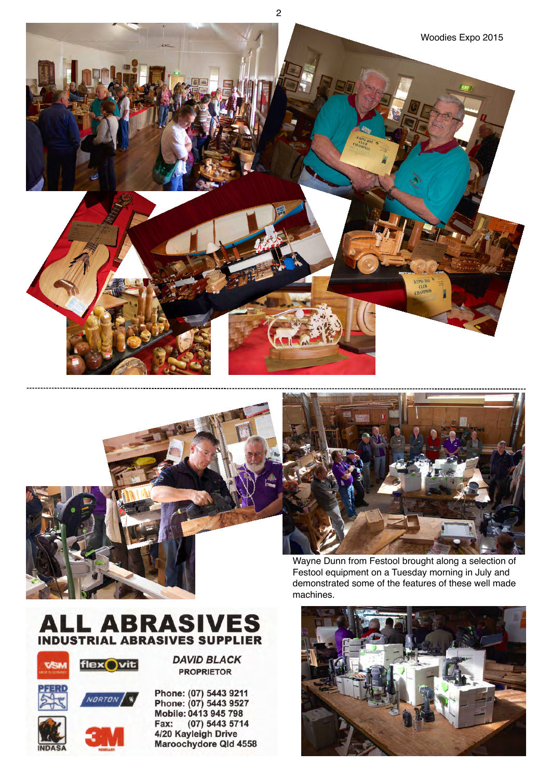





Wayne Dunn from Festool brought along a selection of Festool equipment on a Tuesday morning in July and demonstrated some of the features of these well made machines.







**DAVID BLACK PROPRIETOR** 

Phone: (07) 5443 9211 Phone: (07) 5443 9527 Mobile: 0413 945 798 Fax:  $(07) 5443 5714$ 4/20 Kayleigh Drive Maroochydore Qld 4558

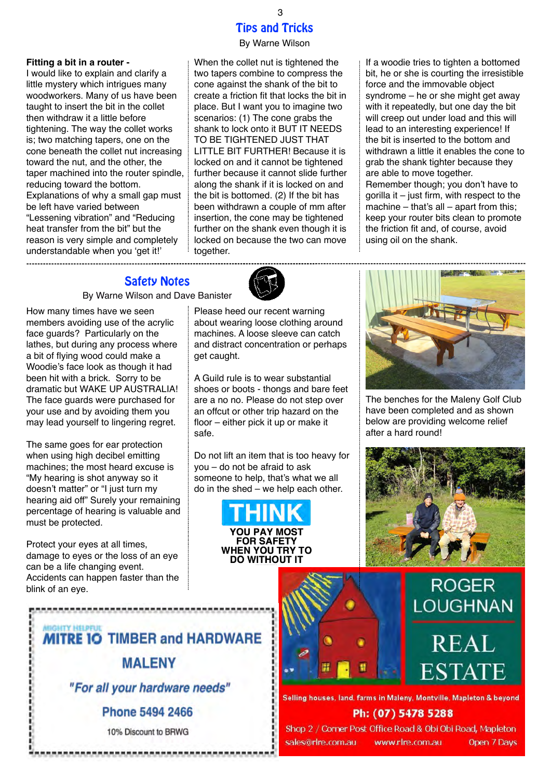### Tips and Tricks

### By Warne Wilson

#### **Fitting a bit in a router -**

I would like to explain and clarify a little mystery which intrigues many woodworkers. Many of us have been taught to insert the bit in the collet then withdraw it a little before tightening. The way the collet works is; two matching tapers, one on the cone beneath the collet nut increasing toward the nut, and the other, the taper machined into the router spindle, reducing toward the bottom. Explanations of why a small gap must be left have varied between "Lessening vibration" and "Reducing heat transfer from the bit" but the reason is very simple and completely understandable when you 'get it!' 

When the collet nut is tightened the two tapers combine to compress the cone against the shank of the bit to create a friction fit that locks the bit in place. But I want you to imagine two scenarios: (1) The cone grabs the shank to lock onto it BUT IT NEEDS TO BE TIGHTENED JUST THAT LITTLE BIT FURTHER! Because it is locked on and it cannot be tightened further because it cannot slide further along the shank if it is locked on and the bit is bottomed. (2) If the bit has been withdrawn a couple of mm after insertion, the cone may be tightened further on the shank even though it is locked on because the two can move together.

If a woodie tries to tighten a bottomed bit, he or she is courting the irresistible force and the immovable object syndrome – he or she might get away with it repeatedly, but one day the bit will creep out under load and this will lead to an interesting experience! If the bit is inserted to the bottom and withdrawn a little it enables the cone to grab the shank tighter because they are able to move together. Remember though; you don't have to gorilla it – just firm, with respect to the machine  $-$  that's all  $-$  apart from this; keep your router bits clean to promote the friction fit and, of course, avoid using oil on the shank.

### Safety Notes

By Warne Wilson and Dave Banister

How many times have we seen members avoiding use of the acrylic face guards? Particularly on the lathes, but during any process where a bit of flying wood could make a Woodie's face look as though it had been hit with a brick. Sorry to be dramatic but WAKE UP AUSTRALIA! The face guards were purchased for your use and by avoiding them you may lead yourself to lingering regret.

The same goes for ear protection when using high decibel emitting machines; the most heard excuse is "My hearing is shot anyway so it doesn't matter" or "I just turn my hearing aid off" Surely your remaining percentage of hearing is valuable and must be protected.

Protect your eyes at all times, damage to eyes or the loss of an eye can be a life changing event. Accidents can happen faster than the blink of an eye.



Please heed our recent warning about wearing loose clothing around machines. A loose sleeve can catch and distract concentration or perhaps get caught.

A Guild rule is to wear substantial shoes or boots - thongs and bare feet are a no no. Please do not step over an offcut or other trip hazard on the floor – either pick it up or make it safe.

Do not lift an item that is too heavy for you – do not be afraid to ask someone to help, that's what we all do in the shed – we help each other.





The benches for the Maleny Golf Club have been completed and as shown below are providing welcome relief after a hard round!



# **ROGER LOUGHNAN**

**REAL** 

**ESTATE** 

### **MIGHTY HELPFUL MITRE IO TIMBER and HARDWARE**

**MALENY** 

"For all your hardware needs"

Phone 5494 2466

10% Discount to BRWG



# Selling houses, land, farms in Maleny, Montville, Mapleton & beyond

Ph: (07) 5478 5288

Shop 2 / Corner Post Office Road & Obi Obi Road, Mapleton sales@rlre.com.au

www.rlre.com.au Open 7 Days

3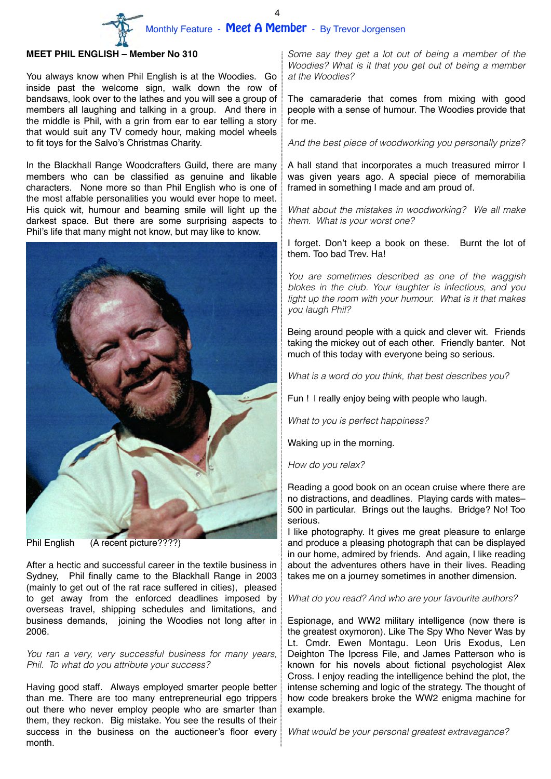Monthly Feature - Meet A Member - By Trevor Jorgensen 4

### **MEET PHIL ENGLISH – Member No 310**

You always know when Phil English is at the Woodies. Go inside past the welcome sign, walk down the row of bandsaws, look over to the lathes and you will see a group of members all laughing and talking in a group. And there in the middle is Phil, with a grin from ear to ear telling a story that would suit any TV comedy hour, making model wheels to fit toys for the Salvo's Christmas Charity.

In the Blackhall Range Woodcrafters Guild, there are many members who can be classified as genuine and likable characters. None more so than Phil English who is one of the most affable personalities you would ever hope to meet. His quick wit, humour and beaming smile will light up the darkest space. But there are some surprising aspects to Phil's life that many might not know, but may like to know.



Phil English (A recent picture????)

After a hectic and successful career in the textile business in Sydney, Phil finally came to the Blackhall Range in 2003 (mainly to get out of the rat race suffered in cities), pleased to get away from the enforced deadlines imposed by overseas travel, shipping schedules and limitations, and business demands, joining the Woodies not long after in 2006.

*You ran a very, very successful business for many years, Phil. To what do you attribute your success?*

Having good staff. Always employed smarter people better than me. There are too many entrepreneurial ego trippers out there who never employ people who are smarter than them, they reckon. Big mistake. You see the results of their success in the business on the auctioneer's floor every month.

*Some say they get a lot out of being a member of the Woodies? What is it that you get out of being a member at the Woodies?*

The camaraderie that comes from mixing with good people with a sense of humour. The Woodies provide that for me.

*And the best piece of woodworking you personally prize?*

A hall stand that incorporates a much treasured mirror I was given years ago. A special piece of memorabilia framed in something I made and am proud of.

*What about the mistakes in woodworking? We all make them. What is your worst one?* 

I forget. Don't keep a book on these. Burnt the lot of them. Too bad Trev. Ha!

*You are sometimes described as one of the waggish blokes in the club. Your laughter is infectious, and you light up the room with your humour. What is it that makes you laugh Phil?*

Being around people with a quick and clever wit. Friends taking the mickey out of each other. Friendly banter. Not much of this today with everyone being so serious.

*What is a word do you think, that best describes you?* 

Fun ! l really enjoy being with people who laugh.

*What to you is perfect happiness?*

Waking up in the morning.

*How do you relax?*

Reading a good book on an ocean cruise where there are no distractions, and deadlines. Playing cards with mates– 500 in particular. Brings out the laughs. Bridge? No! Too serious.

I like photography. It gives me great pleasure to enlarge and produce a pleasing photograph that can be displayed in our home, admired by friends. And again, I like reading about the adventures others have in their lives. Reading takes me on a journey sometimes in another dimension.

*What do you read? And who are your favourite authors?*

Espionage, and WW2 military intelligence (now there is the greatest oxymoron). Like The Spy Who Never Was by Lt. Cmdr. Ewen Montagu. Leon Uris Exodus, Len Deighton The Ipcress File, and James Patterson who is known for his novels about fictional psychologist Alex Cross. I enjoy reading the intelligence behind the plot, the intense scheming and logic of the strategy. The thought of how code breakers broke the WW2 enigma machine for example.

*What would be your personal greatest extravagance?*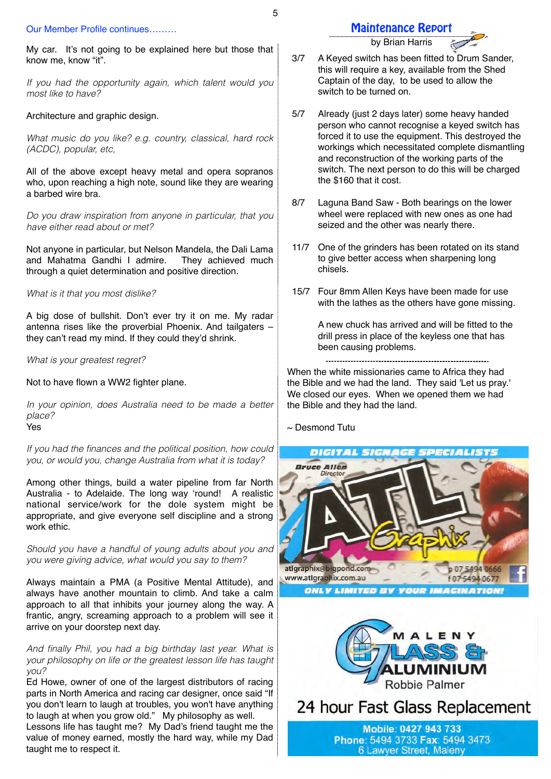#### Our Member Profile continues………

My car. It's not going to be explained here but those that know me, know "it".

*If you had the opportunity again, which talent would you most like to have?*

### Architecture and graphic design.

*What music do you like? e.g. country, classical, hard rock (ACDC), popular, etc,*

All of the above except heavy metal and opera sopranos who, upon reaching a high note, sound like they are wearing a barbed wire bra.

*Do you draw inspiration from anyone in particular, that you have either read about or met?*

Not anyone in particular, but Nelson Mandela, the Dali Lama and Mahatma Gandhi I admire. They achieved much through a quiet determination and positive direction.

### *What is it that you most dislike?*

A big dose of bullshit. Don't ever try it on me. My radar antenna rises like the proverbial Phoenix. And tailgaters – they can't read my mind. If they could they'd shrink.

*What is your greatest regret?*

Not to have flown a WW2 fighter plane.

*In your opinion, does Australia need to be made a better place?*

Yes

*If you had the finances and the political position, how could you, or would you, change Australia from what it is today?*

Among other things, build a water pipeline from far North Australia - to Adelaide. The long way 'round! A realistic national service/work for the dole system might be appropriate, and give everyone self discipline and a strong work ethic.

*Should you have a handful of young adults about you and you were giving advice, what would you say to them?*

Always maintain a PMA (a Positive Mental Attitude), and always have another mountain to climb. And take a calm approach to all that inhibits your journey along the way. A frantic, angry, screaming approach to a problem will see it arrive on your doorstep next day.

*And finally Phil, you had a big birthday last year. What is your philosophy on life or the greatest lesson life has taught you?*

Ed Howe, owner of one of the largest distributors of racing parts in North America and racing car designer, once said "If you don't learn to laugh at troubles, you won't have anything to laugh at when you grow old." My philosophy as well.

Lessons life has taught me? My Dad's friend taught me the value of money earned, mostly the hard way, while my Dad taught me to respect it.

### Maintenance Report

by Brian Harris

- 3/7 A Keyed switch has been fitted to Drum Sander, this will require a key, available from the Shed Captain of the day, to be used to allow the switch to be turned on.
- 5/7 Already (just 2 days later) some heavy handed person who cannot recognise a keyed switch has forced it to use the equipment. This destroyed the workings which necessitated complete dismantling and reconstruction of the working parts of the switch. The next person to do this will be charged the \$160 that it cost.
- 8/7 Laguna Band Saw Both bearings on the lower wheel were replaced with new ones as one had seized and the other was nearly there.
- 11/7 One of the grinders has been rotated on its stand to give better access when sharpening long chisels.
- 15/7 Four 8mm Allen Keys have been made for use with the lathes as the others have gone missing.

A new chuck has arrived and will be fitted to the drill press in place of the keyless one that has been causing problems.

When the white missionaries came to Africa they had the Bible and we had the land. They said 'Let us pray.' We closed our eyes. When we opened them we had the Bible and they had the land.

 $\sim$  Desmond Tutu





24 hour Fast Glass Replacement

Mobile: 0427 943 733 Phone: 5494 3733 Fax: 5494 3473 6 Lawyer Street, Maleny